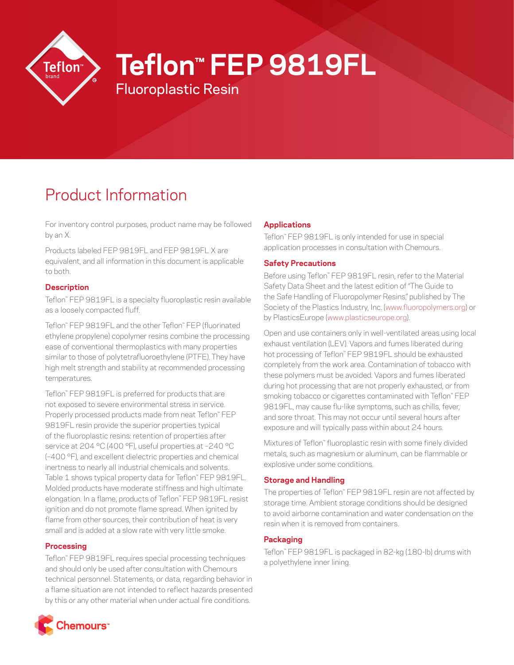

# **Teflon™ FEP 9819FL**

# Fluoroplastic Resin

# Product Information

For inventory control purposes, product name may be followed by an X.

Products labeled FEP 9819FL and FEP 9819FL X are equivalent, and all information in this document is applicable to both.

#### **Description**

Teflon™ FEP 9819FL is a specialty fluoroplastic resin available as a loosely compacted fluff.

Teflon™ FEP 9819FL and the other Teflon™ FEP (fluorinated ethylene propylene) copolymer resins combine the processing ease of conventional thermoplastics with many properties similar to those of polytetrafluoroethylene (PTFE). They have high melt strength and stability at recommended processing temperatures.

Teflon™ FEP 9819FL is preferred for products that are not exposed to severe environmental stress in service. Properly processed products made from neat Teflon™ FEP 9819FL resin provide the superior properties typical of the fluoroplastic resins: retention of properties after service at 204 °C (400 °F), useful properties at –240 °C (–400 °F), and excellent dielectric properties and chemical inertness to nearly all industrial chemicals and solvents. Table 1 shows typical property data for Teflon™ FEP 9819FL. Molded products have moderate stiffness and high ultimate elongation. In a flame, products of Teflon™ FEP 9819FL resist ignition and do not promote flame spread. When ignited by flame from other sources, their contribution of heat is very small and is added at a slow rate with very little smoke.

#### **Processing**

Teflon™ FEP 9819FL requires special processing techniques and should only be used after consultation with Chemours technical personnel. Statements, or data, regarding behavior in a flame situation are not intended to reflect hazards presented by this or any other material when under actual fire conditions.

## **Applications**

Teflon™ FEP 9819FL is only intended for use in special application processes in consultation with Chemours.

### **Safety Precautions**

Before using Teflon™ FEP 9819FL resin, refer to the Material Safety Data Sheet and the latest edition of "The Guide to the Safe Handling of Fluoropolymer Resins," published by The Society of the Plastics Industry, Inc. [\(www.fluoropolymers.org\)](http://www.fluoropolymers.org) or by PlasticsEurope [\(www.plasticseurope.org\)](http://www.plasticseurope.org).

Open and use containers only in well-ventilated areas using local exhaust ventilation (LEV). Vapors and fumes liberated during hot processing of Teflon™ FEP 9819FL should be exhausted completely from the work area. Contamination of tobacco with these polymers must be avoided. Vapors and fumes liberated during hot processing that are not properly exhausted, or from smoking tobacco or cigarettes contaminated with Teflon™ FEP 9819FL, may cause flu-like symptoms, such as chills, fever, and sore throat. This may not occur until several hours after exposure and will typically pass within about 24 hours.

Mixtures of Teflon™ fluoroplastic resin with some finely divided metals, such as magnesium or aluminum, can be flammable or explosive under some conditions.

### **Storage and Handling**

The properties of Teflon™ FEP 9819FL resin are not affected by storage time. Ambient storage conditions should be designed to avoid airborne contamination and water condensation on the resin when it is removed from containers.

### **Packaging**

Teflon™ FEP 9819FL is packaged in 82-kg (180-lb) drums with a polyethylene inner lining.